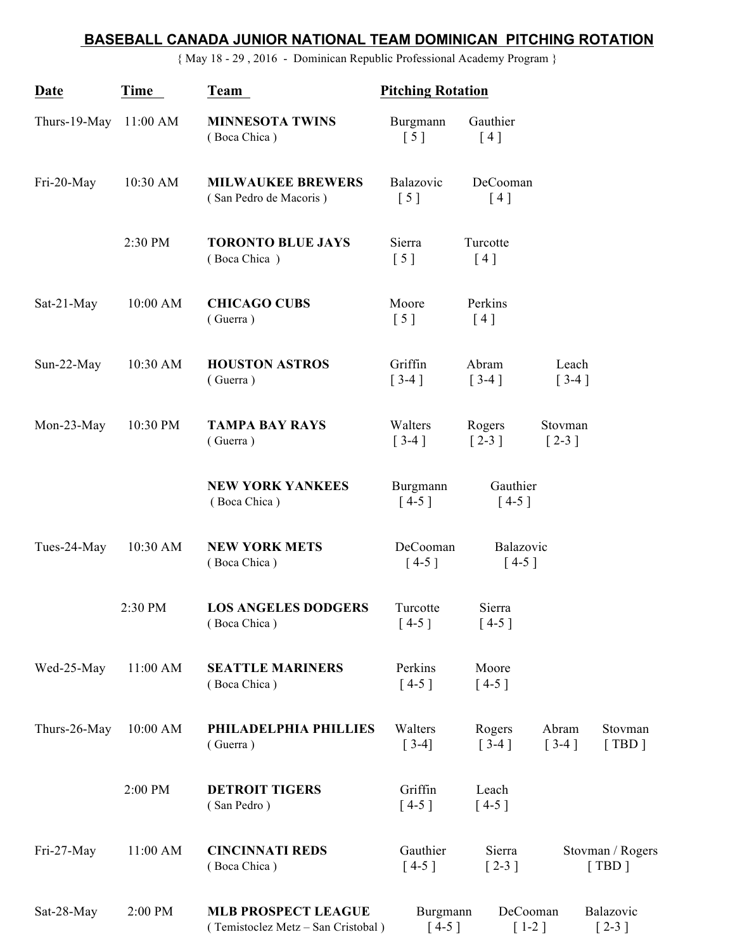## **BASEBALL CANADA JUNIOR NATIONAL TEAM DOMINICAN PITCHING ROTATION**

{ May 18 - 29 , 2016 - Dominican Republic Professional Academy Program }

| Date         | Time       | Team                                                             | <b>Pitching Rotation</b>      |                              |                               |                           |
|--------------|------------|------------------------------------------------------------------|-------------------------------|------------------------------|-------------------------------|---------------------------|
| Thurs-19-May | $11:00$ AM | <b>MINNESOTA TWINS</b><br>(Boca Chica)                           | Burgmann<br>$\lceil 5 \rceil$ | Gauthier<br>[4]              |                               |                           |
| Fri-20-May   | 10:30 AM   | <b>MILWAUKEE BREWERS</b><br>(San Pedro de Macoris)               | Balazovic<br>[5]              | DeCooman<br>[4]              |                               |                           |
|              | 2:30 PM    | <b>TORONTO BLUE JAYS</b><br>(Boca Chica)                         | Sierra<br>[5]                 | Turcotte<br>[4]              |                               |                           |
| Sat-21-May   | 10:00 AM   | <b>CHICAGO CUBS</b><br>(Guerra)                                  | Moore<br>$\left[ 5 \right]$   | Perkins<br>[4]               |                               |                           |
| Sun-22-May   | 10:30 AM   | <b>HOUSTON ASTROS</b><br>(Guerra)                                | Griffin<br>$[3-4]$            | Abram<br>$[3-4]$             | Leach<br>$[3-4]$              |                           |
| Mon-23-May   | 10:30 PM   | <b>TAMPA BAY RAYS</b><br>(Guerra)                                | Walters<br>$[3-4]$            | Rogers<br>$\left[2-3\right]$ | Stovman<br>$\left[2-3\right]$ |                           |
|              |            | <b>NEW YORK YANKEES</b><br>(Boca Chica)                          | Burgmann<br>$[4-5]$           | Gauthier<br>$[4-5]$          |                               |                           |
| Tues-24-May  | 10:30 AM   | <b>NEW YORK METS</b><br>(Boca Chica)                             | DeCooman<br>$[4-5]$           | Balazovic<br>$[4-5]$         |                               |                           |
|              | 2:30 PM    | <b>LOS ANGELES DODGERS</b><br>(Boca Chica)                       | Turcotte<br>$[4-5]$           | Sierra<br>$[4-5]$            |                               |                           |
| Wed-25-May   | 11:00 AM   | <b>SEATTLE MARINERS</b><br>(Boca Chica)                          | Perkins<br>$[4-5]$            | Moore<br>$[4-5]$             |                               |                           |
| Thurs-26-May | 10:00 AM   | PHILADELPHIA PHILLIES<br>(Guerra)                                | Walters<br>$[3-4]$            | Rogers<br>$[3-4]$            | Abram<br>$[3-4]$              | Stovman<br>[TBD]          |
|              | 2:00 PM    | <b>DETROIT TIGERS</b><br>(San Pedro)                             | Griffin<br>$[4-5]$            | Leach<br>$[4-5]$             |                               |                           |
| Fri-27-May   | 11:00 AM   | <b>CINCINNATI REDS</b><br>(Boca Chica)                           | Gauthier<br>$[4-5]$           | Sierra<br>$[2-3]$            |                               | Stovman / Rogers<br>[TBD] |
| Sat-28-May   | 2:00 PM    | <b>MLB PROSPECT LEAGUE</b><br>(Temistoclez Metz - San Cristobal) | Burgmann<br>$[4-5]$           | DeCooman<br>$[1-2]$          |                               | Balazovic<br>$[2-3]$      |